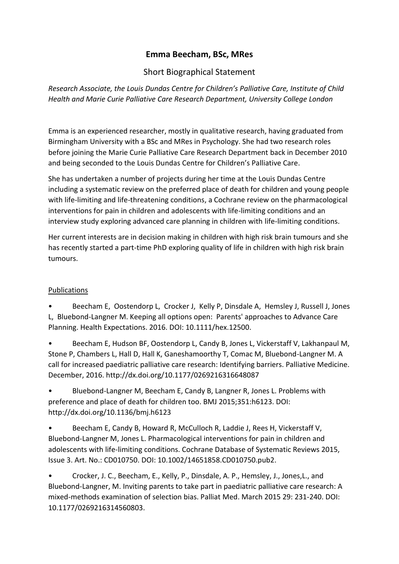## **Emma Beecham, BSc, MRes**

## Short Biographical Statement

*Research Associate, the Louis Dundas Centre for Children's Palliative Care, Institute of Child Health and Marie Curie Palliative Care Research Department, University College London*

Emma is an experienced researcher, mostly in qualitative research, having graduated from Birmingham University with a BSc and MRes in Psychology. She had two research roles before joining the Marie Curie Palliative Care Research Department back in December 2010 and being seconded to the Louis Dundas Centre for Children's Palliative Care.

She has undertaken a number of projects during her time at the Louis Dundas Centre including a systematic review on the preferred place of death for children and young people with life-limiting and life-threatening conditions, a Cochrane review on the pharmacological interventions for pain in children and adolescents with life-limiting conditions and an interview study exploring advanced care planning in children with life-limiting conditions.

Her current interests are in decision making in children with high risk brain tumours and she has recently started a part-time PhD exploring quality of life in children with high risk brain tumours.

## Publications

• Beecham E, Oostendorp L, Crocker J, Kelly P, Dinsdale A, Hemsley J, Russell J, Jones L, Bluebond-Langner M. Keeping all options open: Parents' approaches to Advance Care Planning. Health Expectations. 2016. DOI: 10.1111/hex.12500.

• Beecham E, Hudson BF, Oostendorp L, Candy B, Jones L, Vickerstaff V, Lakhanpaul M, Stone P, Chambers L, Hall D, Hall K, Ganeshamoorthy T, Comac M, Bluebond-Langner M. A call for increased paediatric palliative care research: Identifying barriers. Palliative Medicine. December, 2016. http://dx.doi.org/10.1177/0269216316648087

• Bluebond-Langner M, Beecham E, Candy B, Langner R, Jones L. Problems with preference and place of death for children too. BMJ 2015;351:h6123. DOI: http://dx.doi.org/10.1136/bmj.h6123

• Beecham E, Candy B, Howard R, McCulloch R, Laddie J, Rees H, Vickerstaff V, Bluebond-Langner M, Jones L. Pharmacological interventions for pain in children and adolescents with life-limiting conditions. Cochrane Database of Systematic Reviews 2015, Issue 3. Art. No.: CD010750. DOI: 10.1002/14651858.CD010750.pub2.

• Crocker, J. C., Beecham, E., Kelly, P., Dinsdale, A. P., Hemsley, J., Jones,L., and Bluebond-Langner, M. Inviting parents to take part in paediatric palliative care research: A mixed-methods examination of selection bias. Palliat Med. March 2015 29: 231-240. DOI: 10.1177/0269216314560803.